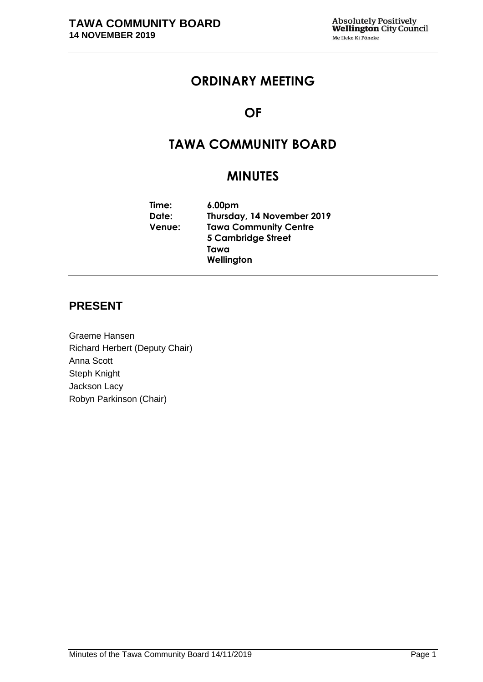# **ORDINARY MEETING**

# **OF**

# **TAWA COMMUNITY BOARD**

# **MINUTES**

**Time: 6.00pm Date: Thursday, 14 November 2019 Venue: Tawa Community Centre 5 Cambridge Street Tawa Wellington**

### **PRESENT**

Graeme Hansen Richard Herbert (Deputy Chair) Anna Scott Steph Knight Jackson Lacy Robyn Parkinson (Chair)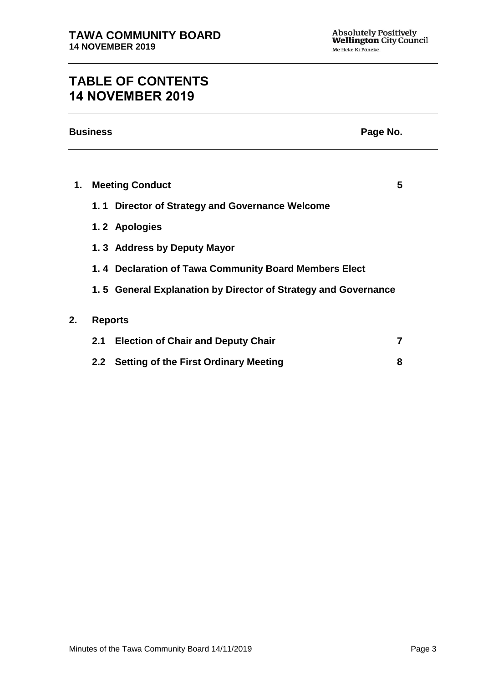# **TABLE OF CONTENTS 14 NOVEMBER 2019**

| <b>Business</b><br>Page No. |     |                                                                |   |  |
|-----------------------------|-----|----------------------------------------------------------------|---|--|
|                             |     |                                                                |   |  |
| 1.                          |     | <b>Meeting Conduct</b>                                         | 5 |  |
|                             |     | 1.1 Director of Strategy and Governance Welcome                |   |  |
|                             |     | 1.2 Apologies                                                  |   |  |
|                             |     | 1.3 Address by Deputy Mayor                                    |   |  |
|                             |     | 1.4 Declaration of Tawa Community Board Members Elect          |   |  |
|                             |     | 1.5 General Explanation by Director of Strategy and Governance |   |  |
| 2.                          |     | <b>Reports</b>                                                 |   |  |
|                             | 2.1 | <b>Election of Chair and Deputy Chair</b>                      | 7 |  |
|                             | 2.2 | <b>Setting of the First Ordinary Meeting</b>                   | 8 |  |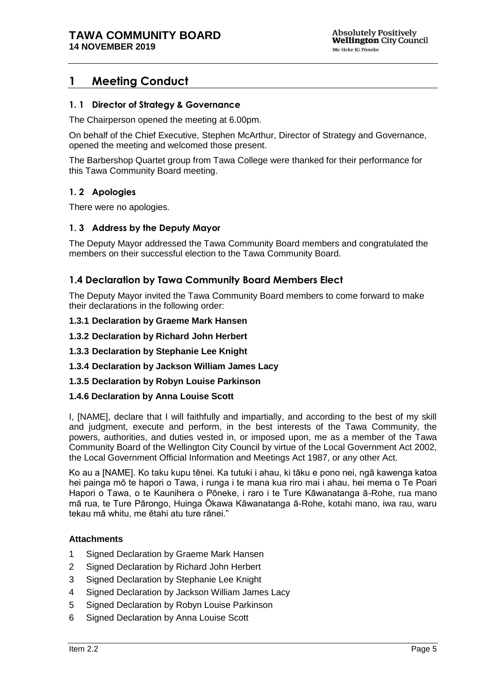## **1 Meeting Conduct**

### **1. 1 Director of Strategy & Governance**

The Chairperson opened the meeting at 6.00pm.

On behalf of the Chief Executive, Stephen McArthur, Director of Strategy and Governance, opened the meeting and welcomed those present.

The Barbershop Quartet group from Tawa College were thanked for their performance for this Tawa Community Board meeting.

### **1. 2 Apologies**

There were no apologies.

### **1. 3 Address by the Deputy Mayor**

The Deputy Mayor addressed the Tawa Community Board members and congratulated the members on their successful election to the Tawa Community Board.

### **1.4 Declaration by Tawa Community Board Members Elect**

The Deputy Mayor invited the Tawa Community Board members to come forward to make their declarations in the following order:

#### **1.3.1 Declaration by Graeme Mark Hansen**

**1.3.2 Declaration by Richard John Herbert**

### **1.3.3 Declaration by Stephanie Lee Knight**

### **1.3.4 Declaration by Jackson William James Lacy**

### **1.3.5 Declaration by Robyn Louise Parkinson**

### **1.4.6 Declaration by Anna Louise Scott**

I, [NAME], declare that I will faithfully and impartially, and according to the best of my skill and judgment, execute and perform, in the best interests of the Tawa Community, the powers, authorities, and duties vested in, or imposed upon, me as a member of the Tawa Community Board of the Wellington City Council by virtue of the Local Government Act 2002, the Local Government Official Information and Meetings Act 1987, or any other Act.

Ko au a [NAME]. Ko taku kupu tēnei. Ka tutuki i ahau, ki tāku e pono nei, ngā kawenga katoa hei painga mō te hapori o Tawa, i runga i te mana kua riro mai i ahau, hei mema o Te Poari Hapori o Tawa, o te Kaunihera o Pōneke, i raro i te Ture Kāwanatanga ā-Rohe, rua mano mā rua, te Ture Pārongo, Huinga Ōkawa Kāwanatanga ā-Rohe, kotahi mano, iwa rau, waru tekau mā whitu, me ētahi atu ture rānei."

### **Attachments**

- 1 Signed Declaration by Graeme Mark Hansen
- 2 Signed Declaration by Richard John Herbert
- 3 Signed Declaration by Stephanie Lee Knight
- 4 Signed Declaration by Jackson William James Lacy
- 5 Signed Declaration by Robyn Louise Parkinson
- 6 Signed Declaration by Anna Louise Scott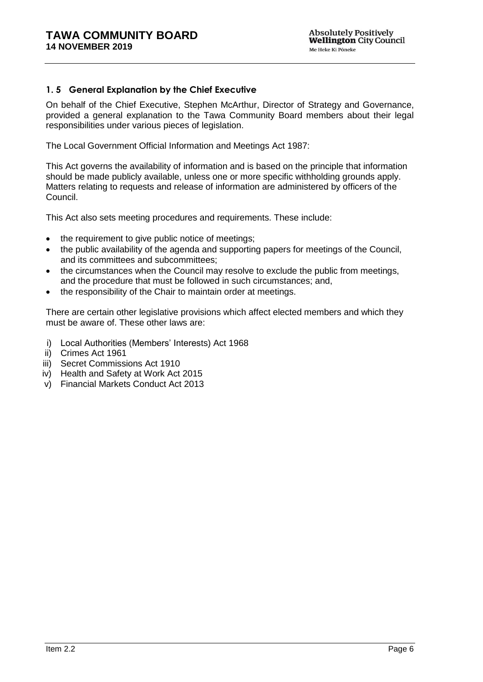### **1. 5 General Explanation by the Chief Executive**

On behalf of the Chief Executive, Stephen McArthur, Director of Strategy and Governance, provided a general explanation to the Tawa Community Board members about their legal responsibilities under various pieces of legislation.

The Local Government Official Information and Meetings Act 1987:

This Act governs the availability of information and is based on the principle that information should be made publicly available, unless one or more specific withholding grounds apply. Matters relating to requests and release of information are administered by officers of the Council.

This Act also sets meeting procedures and requirements. These include:

- the requirement to give public notice of meetings;
- the public availability of the agenda and supporting papers for meetings of the Council, and its committees and subcommittees;
- the circumstances when the Council may resolve to exclude the public from meetings, and the procedure that must be followed in such circumstances; and,
- the responsibility of the Chair to maintain order at meetings.

There are certain other legislative provisions which affect elected members and which they must be aware of. These other laws are:

- i) Local Authorities (Members' Interests) Act 1968
- ii) Crimes Act 1961
- iii) Secret Commissions Act 1910
- iv) Health and Safety at Work Act 2015
- v) Financial Markets Conduct Act 2013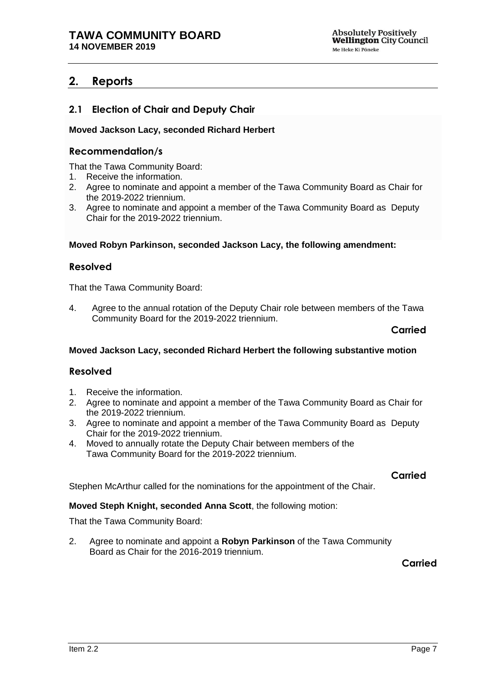## **2. Reports**

### **2.1 Election of Chair and Deputy Chair**

### **Moved Jackson Lacy, seconded Richard Herbert**

### **Recommendation/s**

That the Tawa Community Board:

- 1. Receive the information.
- 2. Agree to nominate and appoint a member of the Tawa Community Board as Chair for the 2019-2022 triennium.
- 3. Agree to nominate and appoint a member of the Tawa Community Board as Deputy Chair for the 2019-2022 triennium.

#### **Moved Robyn Parkinson, seconded Jackson Lacy, the following amendment:**

### **Resolved**

That the Tawa Community Board:

4. Agree to the annual rotation of the Deputy Chair role between members of the Tawa Community Board for the 2019-2022 triennium.

#### **Carried**

### **Moved Jackson Lacy, seconded Richard Herbert the following substantive motion**

### **Resolved**

- 1. Receive the information.
- 2. Agree to nominate and appoint a member of the Tawa Community Board as Chair for the 2019-2022 triennium.
- 3. Agree to nominate and appoint a member of the Tawa Community Board as Deputy Chair for the 2019-2022 triennium.
- 4. Moved to annually rotate the Deputy Chair between members of the Tawa Community Board for the 2019-2022 triennium.

### **Carried**

Stephen McArthur called for the nominations for the appointment of the Chair.

### **Moved Steph Knight, seconded Anna Scott**, the following motion:

That the Tawa Community Board:

2. Agree to nominate and appoint a **Robyn Parkinson** of the Tawa Community Board as Chair for the 2016-2019 triennium.

**Carried**